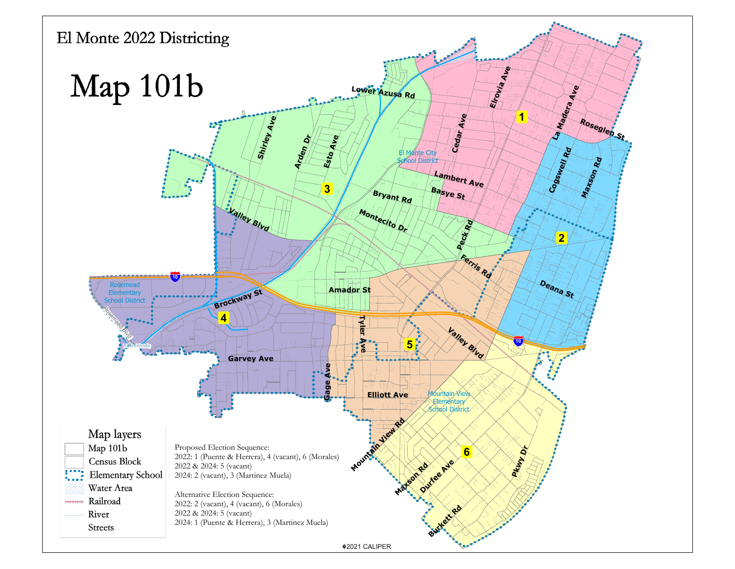